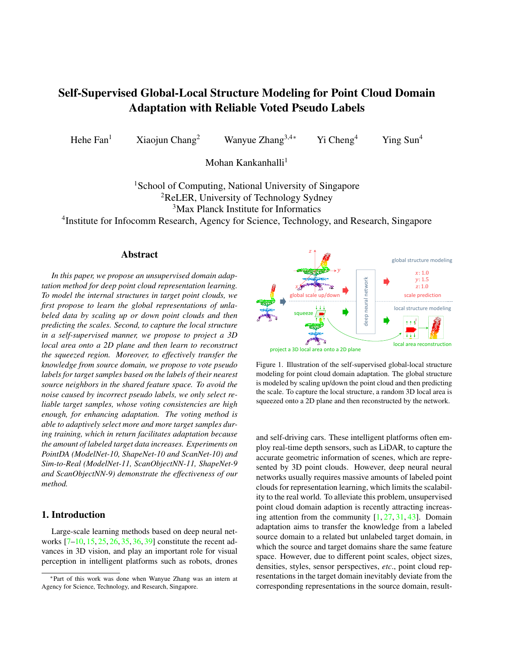# Self-Supervised Global-Local Structure Modeling for Point Cloud Domain Adaptation with Reliable Voted Pseudo Labels

Hehe Fan<sup>1</sup> Xiaojun Chang<sup>2</sup> Wanyue Zhang<sup>3,4∗</sup> Yi Cheng<sup>4</sup> Ying Sun<sup>4</sup>

Mohan Kankanhalli<sup>1</sup>

<sup>1</sup>School of Computing, National University of Singapore <sup>2</sup>ReLER, University of Technology Sydney <sup>3</sup>Max Planck Institute for Informatics

4 Institute for Infocomm Research, Agency for Science, Technology, and Research, Singapore

# Abstract

*In this paper, we propose an unsupervised domain adaptation method for deep point cloud representation learning. To model the internal structures in target point clouds, we first propose to learn the global representations of unlabeled data by scaling up or down point clouds and then predicting the scales. Second, to capture the local structure in a self-supervised manner, we propose to project a 3D local area onto a 2D plane and then learn to reconstruct the squeezed region. Moreover, to effectively transfer the knowledge from source domain, we propose to vote pseudo labels for target samples based on the labels of their nearest source neighbors in the shared feature space. To avoid the noise caused by incorrect pseudo labels, we only select reliable target samples, whose voting consistencies are high enough, for enhancing adaptation. The voting method is able to adaptively select more and more target samples during training, which in return facilitates adaptation because the amount of labeled target data increases. Experiments on PointDA (ModelNet-10, ShapeNet-10 and ScanNet-10) and Sim-to-Real (ModelNet-11, ScanObjectNN-11, ShapeNet-9 and ScanObjectNN-9) demonstrate the effectiveness of our method.*

# 1. Introduction

Large-scale learning methods based on deep neural networks [7–10, 15, 25, 26, 35, 36, 39] constitute the recent advances in 3D vision, and play an important role for visual perception in intelligent platforms such as robots, drones



Figure 1. Illustration of the self-supervised global-local structure modeling for point cloud domain adaptation. The global structure is modeled by scaling up/down the point cloud and then predicting the scale. To capture the local structure, a random 3D local area is squeezed onto a 2D plane and then reconstructed by the network.

Agency for Science, Technology, and Research, Singapore. local area reconstruction and self-driving cars. These intelligent platforms often employ real-time depth sensors, such as LiDAR, to capture the accurate geometric information of scenes, which are represented by 3D point clouds. However, deep neural neural networks usually requires massive amounts of labeled point clouds for representation learning, which limits the scalability to the real world. To alleviate this problem, unsupervised point cloud domain adaption is recently attracting increasing attention from the community  $[1, 27, 31, 43]$ . Domain adaptation aims to transfer the knowledge from a labeled source domain to a related but unlabeled target domain, in which the source and target domains share the same feature space. However, due to different point scales, object sizes, densities, styles, sensor perspectives, *etc*., point cloud representations in the target domain inevitably deviate from the corresponding representations in the source domain, result-

<sup>∗</sup>Part of this work was done when Wanyue Zhang was an intern at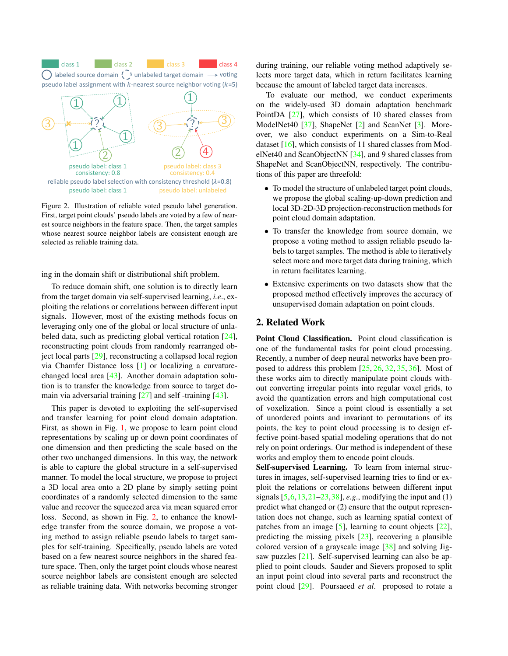class 1 class 2 class 2 class 3 class 4 pseudo label assignment with  $k$ -nearest source neighbor voting ( $k=5$ )  $\bigcap$  labeled source domain  $\zeta$  unlabeled target domain  $\longrightarrow$  voting



Figure 2. Illustration of reliable voted pseudo label generation. First, target point clouds' pseudo labels are voted by a few of nearest source neighbors in the feature space. Then, the target samples whose nearest source neighbor labels are consistent enough are selected as reliable training data.

ing in the domain shift or distributional shift problem.

To reduce domain shift, one solution is to directly learn from the target domain via self-supervised learning, *i.e*., exploiting the relations or correlations between different input signals. However, most of the existing methods focus on leveraging only one of the global or local structure of unlabeled data, such as predicting global vertical rotation [24], reconstructing point clouds from randomly rearranged object local parts [29], reconstructing a collapsed local region via Chamfer Distance loss [1] or localizing a curvaturechanged local area [43]. Another domain adaptation solution is to transfer the knowledge from source to target domain via adversarial training [27] and self -training [43].

This paper is devoted to exploiting the self-supervised and transfer learning for point cloud domain adaptation. First, as shown in Fig. 1, we propose to learn point cloud representations by scaling up or down point coordinates of one dimension and then predicting the scale based on the other two unchanged dimensions. In this way, the network is able to capture the global structure in a self-supervised manner. To model the local structure, we propose to project a 3D local area onto a 2D plane by simply setting point coordinates of a randomly selected dimension to the same value and recover the squeezed area via mean squared error loss. Second, as shown in Fig. 2, to enhance the knowledge transfer from the source domain, we propose a voting method to assign reliable pseudo labels to target samples for self-training. Specifically, pseudo labels are voted based on a few nearest source neighbors in the shared feature space. Then, only the target point clouds whose nearest source neighbor labels are consistent enough are selected as reliable training data. With networks becoming stronger

during training, our reliable voting method adaptively selects more target data, which in return facilitates learning because the amount of labeled target data increases.

To evaluate our method, we conduct experiments on the widely-used 3D domain adaptation benchmark PointDA [27], which consists of 10 shared classes from ModelNet40 [37], ShapeNet [2] and ScanNet [3]. Moreover, we also conduct experiments on a Sim-to-Real dataset [16], which consists of 11 shared classes from ModelNet40 and ScanObjectNN [34], and 9 shared classes from ShapeNet and ScanObjectNN, respectively. The contributions of this paper are threefold:

- To model the structure of unlabeled target point clouds, we propose the global scaling-up-down prediction and local 3D-2D-3D projection-reconstruction methods for point cloud domain adaptation.
- To transfer the knowledge from source domain, we propose a voting method to assign reliable pseudo labels to target samples. The method is able to iteratively select more and more target data during training, which in return facilitates learning.
- Extensive experiments on two datasets show that the proposed method effectively improves the accuracy of unsupervised domain adaptation on point clouds.

## 2. Related Work

Point Cloud Classification. Point cloud classification is one of the fundamental tasks for point cloud processing. Recently, a number of deep neural networks have been proposed to address this problem [25, 26, 32, 35, 36]. Most of these works aim to directly manipulate point clouds without converting irregular points into regular voxel grids, to avoid the quantization errors and high computational cost of voxelization. Since a point cloud is essentially a set of unordered points and invariant to permutations of its points, the key to point cloud processing is to design effective point-based spatial modeling operations that do not rely on point orderings. Our method is independent of these works and employ them to encode point clouds.

Self-supervised Learning. To learn from internal structures in images, self-supervised learning tries to find or exploit the relations or correlations between different input signals [5,6,13,21–23,38], *e.g*., modifying the input and (1) predict what changed or (2) ensure that the output representation does not change, such as learning spatial context of patches from an image  $[5]$ , learning to count objects  $[22]$ , predicting the missing pixels [23], recovering a plausible colored version of a grayscale image [38] and solving Jigsaw puzzles [21]. Self-supervised learning can also be applied to point clouds. Sauder and Sievers proposed to split an input point cloud into several parts and reconstruct the point cloud [29]. Poursaeed *et al*. proposed to rotate a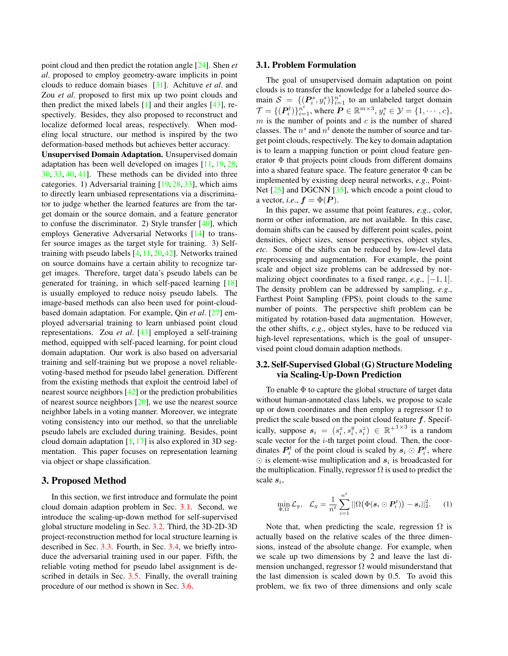point cloud and then predict the rotation angle [24]. Shen *et al*. proposed to employ geometry-aware implicits in point clouds to reduce domain biases [31]. Achituve *et al*. and Zou *et al*. proposed to first mix up two point clouds and then predict the mixed labels [1] and their angles [43], respectively. Besides, they also proposed to reconstruct and localize deformed local areas, respectively. When modeling local structure, our method is inspired by the two deformation-based methods but achieves better accuracy.

Unsupervised Domain Adaptation. Unsupervised domain adaptation has been well developed on images [11, 19, 28, 30, 33, 40, 41]. These methods can be divided into three categories. 1) Adversarial training [19, 28, 33], which aims to directly learn unbiased representations via a discriminator to judge whether the learned features are from the target domain or the source domain, and a feature generator to confuse the discriminator. 2) Style transfer  $[40]$ , which employs Generative Adversarial Networks [14] to transfer source images as the target style for training. 3) Selftraining with pseudo labels [4,11,20,42]. Networks trained on source domains have a certain ability to recognize target images. Therefore, target data's pseudo labels can be generated for training, in which self-paced learning [18] is usually employed to reduce noisy pseudo labels. The image-based methods can also been used for point-cloudbased domain adaptation. For example, Qin *et al*. [27] employed adversarial training to learn unbiased point cloud representations. Zou *et al*. [43] employed a self-training method, equipped with self-paced learning, for point cloud domain adaptation. Our work is also based on adversarial training and self-training but we propose a novel reliablevoting-based method for pseudo label generation. Different from the existing methods that exploit the centroid label of nearest source neighbors [42] or the prediction probabilities of nearest source neighbors [20], we use the nearest source neighbor labels in a voting manner. Moreover, we integrate voting consistency into our method, so that the unreliable pseudo labels are excluded during training. Besides, point cloud domain adaptation  $[1, 17]$  is also explored in 3D segmentation. This paper focuses on representation learning via object or shape classification.

## 3. Proposed Method

In this section, we first introduce and formulate the point cloud domain adaption problem in Sec. 3.1. Second, we introduce the scaling-up-down method for self-supervised global structure modeling in Sec. 3.2. Third, the 3D-2D-3D project-reconstruction method for local structure learning is described in Sec. 3.3. Fourth, in Sec. 3.4, we briefly introduce the adversarial training used in our paper. Fifth, the reliable voting method for pseudo label assignment is described in details in Sec. 3.5. Finally, the overall training procedure of our method is shown in Sec. 3.6.

#### 3.1. Problem Formulation

The goal of unsupervised domain adaptation on point clouds is to transfer the knowledge for a labeled source domain  $S = \{ (P_i^s, y_i^s) \}_{i=1}^{n^s}$  to an unlabeled target domain  $\mathcal{T} = \{(\boldsymbol{P}_i^t)\}_{i=1}^{n^t}$ , where  $\boldsymbol{P} \in \mathbb{R}^{m \times 3}$ ,  $y_i^s \in \mathcal{Y} = \{1, \cdots, c\}$ ,  $m$  is the number of points and  $c$  is the number of shared classes. The  $n^s$  and  $n^t$  denote the number of source and target point clouds, respectively. The key to domain adaptation is to learn a mapping function or point cloud feature generator  $\Phi$  that projects point clouds from different domains into a shared feature space. The feature generator  $\Phi$  can be implemented by existing deep neural networks, *e.g*., Point-Net  $[25]$  and DGCNN  $[35]$ , which encode a point cloud to a vector, *i.e.*,  $f = \Phi(P)$ .

In this paper, we assume that point features, *e.g*., color, norm or other information, are not available. In this case, domain shifts can be caused by different point scales, point densities, object sizes, sensor perspectives, object styles, *etc*. Some of the shifts can be reduced by low-level data preprocessing and augmentation. For example, the point scale and object size problems can be addressed by normalizing object coordinates to a fixed range,  $e.g.,$   $[-1, 1]$ . The density problem can be addressed by sampling, *e.g*., Farthest Point Sampling (FPS), point clouds to the same number of points. The perspective shift problem can be mitigated by rotation-based data augmentation. However, the other shifts, *e.g*., object styles, have to be reduced via high-level representations, which is the goal of unsupervised point cloud domain adaption methods.

## 3.2. Self-Supervised Global (G) Structure Modeling via Scaling-Up-Down Prediction

To enable  $\Phi$  to capture the global structure of target data without human-annotated class labels, we propose to scale up or down coordinates and then employ a regressor  $\Omega$  to predict the scale based on the point cloud feature  $f$ . Specifically, suppose  $s_i = (s_i^x, s_i^y, s_i^z) \in \mathbb{R}^{+1 \times 3}$  is a random scale vector for the  $i$ -th target point cloud. Then, the coordinates  $P_i^t$  of the point cloud is scaled by  $s_i \odot P_i^t$ , where  $\odot$  is element-wise multiplication and  $s_i$  is broadcasted for the multiplication. Finally, regressor  $\Omega$  is used to predict the scale  $s_i$ ,

$$
\min_{\Phi,\Omega}\mathcal{L}_{g},\quad \mathcal{L}_{g}=\frac{1}{n^{t}}\sum_{i=1}^{n^{t}}||\Omega(\Phi(\boldsymbol{s}_{i}\odot\boldsymbol{P}_{i}^{t}))-\boldsymbol{s}_{i}||_{2}^{2}.\qquad(1)
$$

Note that, when predicting the scale, regression  $\Omega$  is actually based on the relative scales of the three dimensions, instead of the absolute change. For example, when we scale up two dimensions by 2 and leave the last dimension unchanged, regressor  $\Omega$  would misunderstand that the last dimension is scaled down by 0.5. To avoid this problem, we fix two of three dimensions and only scale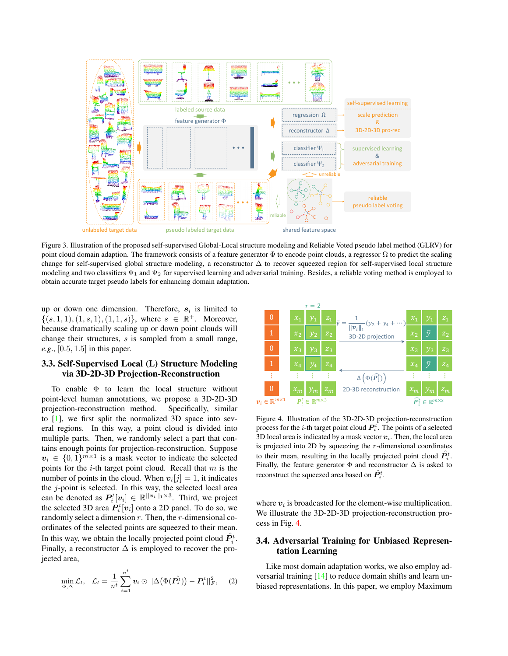

Figure 3. Illustration of the proposed self-supervised Global-Local structure modeling and Reliable Voted pseudo label method (GLRV) for point cloud domain adaption. The framework consists of a feature generator  $\Phi$  to encode point clouds, a regressor  $\Omega$  to predict the scaling change for self-supervised global structure modeling, a reconstructor  $\Delta$  to recover squeezed region for self-supervised local structure modeling and two classifiers  $\Psi_1$  and  $\Psi_2$  for supervised learning and adversarial training. Besides, a reliable voting method is employed to obtain accurate target pseudo labels for enhancing domain adaptation.

up or down one dimension. Therefore,  $s_i$  is limited to  $\{(s,1,1), (1,s,1), (1,1,s)\}\$ , where  $s \in \mathbb{R}^+$ . Moreover, because dramatically scaling up or down point clouds will change their structures, s is sampled from a small range, *e.g*., [0.5, 1.5] in this paper.

# 3.3. Self-Supervised Local (L) Structure Modeling via 3D-2D-3D Projection-Reconstruction

To enable  $\Phi$  to learn the local structure without point-level human annotations, we propose a 3D-2D-3D projection-reconstruction method. Specifically, similar to [1], we first split the normalized 3D space into several regions. In this way, a point cloud is divided into multiple parts. Then, we randomly select a part that contains enough points for projection-reconstruction. Suppose  $v_i \in \{0,1\}^{m \times 1}$  is a mask vector to indicate the selected points for the  $i$ -th target point cloud. Recall that  $m$  is the number of points in the cloud. When  $v_i[j] = 1$ , it indicates the  $j$ -point is selected. In this way, the selected local area can be denoted as  $P_i^t[v_i] \in \mathbb{R}^{||v_i||_1 \times 3}$ . Third, we project the selected 3D area  $P_i^t[v_i]$  onto a 2D panel. To do so, we randomly select a dimension  $r$ . Then, the  $r$ -dimensional coordinates of the selected points are squeezed to their mean. In this way, we obtain the locally projected point cloud  $\hat{P}^t_i$ . Finally, a reconstructor  $\Delta$  is employed to recover the projected area,

$$
\min_{\Phi,\Delta}\mathcal{L}_l, \quad \mathcal{L}_l=\frac{1}{n^t}\sum_{i=1}^{n^t}\boldsymbol{v}_i\odot||\Delta(\Phi(\hat{\boldsymbol{P}_i^t}))-\boldsymbol{P}_i^t||_F^2, \quad (2)
$$



Figure 4. Illustration of the 3D-2D-3D projection-reconstruction process for the *i*-th target point cloud  $P_i^t$ . The points of a selected 3D local area is indicated by a mask vector  $v_i$ . Then, the local area is projected into 2D by squeezing the  $r$ -dimensional coordinates to their mean, resulting in the locally projected point cloud  $\hat{P}_i^t$ . Finally, the feature generator  $\Phi$  and reconstructor  $\Delta$  is asked to reconstruct the squeezed area based on  $\hat{P}^t_i.$ 

where  $v_i$  is broadcasted for the element-wise multiplication. We illustrate the 3D-2D-3D projection-reconstruction process in Fig. 4.

## 3.4. Adversarial Training for Unbiased Representation Learning

Like most domain adaptation works, we also employ adversarial training [14] to reduce domain shifts and learn unbiased representations. In this paper, we employ Maximum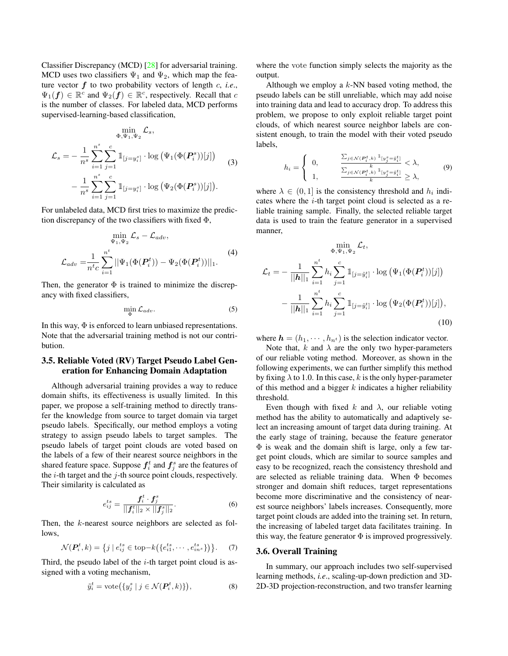Classifier Discrepancy (MCD) [28] for adversarial training. MCD uses two classifiers  $\Psi_1$  and  $\Psi_2$ , which map the feature vector f to two probability vectors of length c, *i.e*.,  $\Psi_1(f) \in \mathbb{R}^c$  and  $\Psi_2(f) \in \mathbb{R}^c$ , respectively. Recall that c is the number of classes. For labeled data, MCD performs supervised-learning-based classification,

$$
\Phi_{\Psi_{1},\Psi_{2}}^{\min} \mathcal{L}_{s},
$$
\n
$$
\mathcal{L}_{s} = -\frac{1}{n^{s}} \sum_{i=1}^{n^{s}} \sum_{j=1}^{c} \mathbb{1}_{[j=y_{i}^{s}]}\cdot \log (\Psi_{1}(\Phi(\mathbf{P}_{i}^{s}))[j]) - \frac{1}{n^{s}} \sum_{i=1}^{n^{s}} \sum_{j=1}^{c} \mathbb{1}_{[j=y_{i}^{s}]}\cdot \log (\Psi_{2}(\Phi(\mathbf{P}_{i}^{s}))[j]).
$$
\n(3)

For unlabeled data, MCD first tries to maximize the prediction discrepancy of the two classifiers with fixed  $\Phi$ ,

$$
\min_{\Psi_1, \Psi_2} \mathcal{L}_s - \mathcal{L}_{adv},
$$
\n
$$
\mathcal{L}_{adv} = \frac{1}{n^t c} \sum_{i=1}^{n^t} ||\Psi_1(\Phi(\mathbf{P}_i^t)) - \Psi_2(\Phi(\mathbf{P}_i^t))||_1.
$$
\n(4)

Then, the generator  $\Phi$  is trained to minimize the discrepancy with fixed classifiers,

$$
\min_{\Phi} \mathcal{L}_{adv}.\tag{5}
$$

In this way,  $\Phi$  is enforced to learn unbiased representations. Note that the adversarial training method is not our contribution.

## 3.5. Reliable Voted (RV) Target Pseudo Label Generation for Enhancing Domain Adaptation

Although adversarial training provides a way to reduce domain shifts, its effectiveness is usually limited. In this paper, we propose a self-training method to directly transfer the knowledge from source to target domain via target pseudo labels. Specifically, our method employs a voting strategy to assign pseudo labels to target samples. The pseudo labels of target point clouds are voted based on the labels of a few of their nearest source neighbors in the shared feature space. Suppose  $f_i^t$  and  $f_j^s$  are the features of the  $i$ -th target and the  $j$ -th source point clouds, respectively. Their similarity is calculated as

$$
e_{ij}^{ts} = \frac{\mathbf{f}_i^t \cdot \mathbf{f}_j^s}{||\mathbf{f}_i^t||_2 \times ||\mathbf{f}_j^s||_2}.
$$
 (6)

Then, the *k*-nearest source neighbors are selected as follows,

$$
\mathcal{N}(\boldsymbol{P}_i^t, k) = \left\{ j \mid e_{ij}^{ts} \in \text{top-}k(\left\{ e_{i1}^{ts}, \cdots, e_{in}^{ts} \right\} ) \right\}. \tag{7}
$$

Third, the pseudo label of the  $i$ -th target point cloud is assigned with a voting mechanism,

$$
\tilde{y}_i^t = \text{vote}\big(\{y_j^s \mid j \in \mathcal{N}(\boldsymbol{P}_i^t, k)\}\big),\tag{8}
$$

where the vote function simply selects the majority as the output.

Although we employ a  $k$ -NN based voting method, the pseudo labels can be still unreliable, which may add noise into training data and lead to accuracy drop. To address this problem, we propose to only exploit reliable target point clouds, of which nearest source neighbor labels are consistent enough, to train the model with their voted pseudo labels,

$$
h_i = \begin{cases} 0, & \frac{\sum_{j \in \mathcal{N}(\mathbf{P}_i^t, k)} \mathbb{1}_{\{y_j^s = \bar{y}_i^t\}}}{}{k} < \lambda, \\ 1, & \frac{\sum_{j \in \mathcal{N}(\mathbf{P}_i^t, k)} \mathbb{1}_{\{y_j^s = \bar{y}_i^t\}}}{}{k} \ge \lambda, \end{cases} \tag{9}
$$

where  $\lambda \in (0,1]$  is the consistency threshold and  $h_i$  indicates where the  $i$ -th target point cloud is selected as a reliable training sample. Finally, the selected reliable target data is used to train the feature generator in a supervised manner,

$$
\lim_{\Phi, \Psi_1, \Psi_2} \mathcal{L}_t,
$$
\n
$$
\mathcal{L}_t = -\frac{1}{||\mathbf{h}||_1} \sum_{i=1}^{n^t} h_i \sum_{j=1}^c \mathbb{1}_{[j=\tilde{y}_i^t]} \cdot \log (\Psi_1(\Phi(\mathbf{P}_i^t))[j])
$$
\n
$$
-\frac{1}{||\mathbf{h}||_1} \sum_{i=1}^{n^t} h_i \sum_{j=1}^c \mathbb{1}_{[j=\tilde{y}_i^t]} \cdot \log (\Psi_2(\Phi(\mathbf{P}_i^t))[j]),
$$
\n(10)

where  $\mathbf{h} = (h_1, \dots, h_{n^t})$  is the selection indicator vector.

Note that, k and  $\lambda$  are the only two hyper-parameters of our reliable voting method. Moreover, as shown in the following experiments, we can further simplify this method by fixing  $\lambda$  to 1.0. In this case, k is the only hyper-parameter of this method and a bigger  $k$  indicates a higher reliability threshold.

Even though with fixed k and  $\lambda$ , our reliable voting method has the ability to automatically and adaptively select an increasing amount of target data during training. At the early stage of training, because the feature generator Φ is weak and the domain shift is large, only a few target point clouds, which are similar to source samples and easy to be recognized, reach the consistency threshold and are selected as reliable training data. When  $\Phi$  becomes stronger and domain shift reduces, target representations become more discriminative and the consistency of nearest source neighbors' labels increases. Consequently, more target point clouds are added into the training set. In return, the increasing of labeled target data facilitates training. In this way, the feature generator  $\Phi$  is improved progressively.

#### 3.6. Overall Training

In summary, our approach includes two self-supervised learning methods, *i.e*., scaling-up-down prediction and 3D-2D-3D projection-reconstruction, and two transfer learning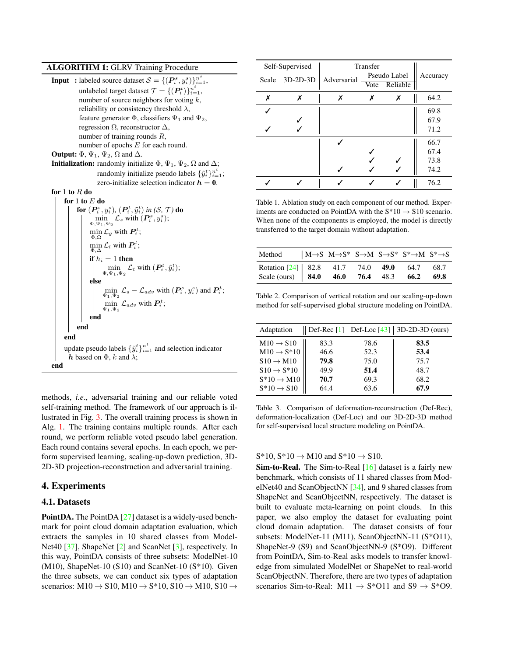#### ALGORITHM 1: GLRV Training Procedure

**Input** : labeled source dataset  $S = \{(\boldsymbol{P}_i^s, y_i^s)\}_{i=1}^{n^s}$ , unlabeled target dataset  $\mathcal{T} = \{(\boldsymbol{P}_i^t)\}_{i=1}^{n^t},$ number of source neighbors for voting  $k$ , reliability or consistency threshold  $\lambda$ , feature generator  $\Phi$ , classifiers  $\Psi_1$  and  $\Psi_2$ , regression  $\Omega$ , reconstructor  $\Delta$ , number of training rounds R, number of epochs E for each round.

**Output:**  $\Phi$ ,  $\Psi_1$ ,  $\Psi_2$ ,  $\Omega$  and  $\Delta$ .

**Initialization:** randomly initialize  $\Phi$ ,  $\Psi_1$ ,  $\Psi_2$ ,  $\Omega$  and  $\Delta$ ; randomly initialize pseudo labels  $\{\tilde{y}_i^t\}_{i=1}^{n^t}$ ; zero-initialize selection indicator  $h = 0$ .

## for  $1$  to  $R$  do

for 1 to E do  
\nfor 
$$
(P_i^s, y_i^s)
$$
,  $(P_i^t, \tilde{y}_i^t)$  in  $(S, \mathcal{T})$  do  
\n
$$
\begin{array}{c}\n\min_{\Phi, \Psi_1, \Psi_2} \mathcal{L}_s \text{ with } (P_i^s, y_i^s); \\
\min_{\Phi, \Omega} \mathcal{L}_g \text{ with } P_i^t; \\
\min_{\Phi, \Delta} \mathcal{L}_l \text{ with } P_i^t; \\
\text{if } h_i = 1 \text{ then} \\
\lim_{\Phi, \Psi_1, \Psi_2} \mathcal{L}_t \text{ with } (P_i^t, \tilde{y}_i^t); \\
\text{else} \\
\lim_{\Psi_1, \Psi_2} \mathcal{L}_s - \mathcal{L}_{adv} \text{ with } (P_i^s, y_i^s) \text{ and } P_i^t; \\
\lim_{\Psi_1, \Psi_2} \mathcal{L}_{adv} \text{ with } P_i^t; \\
\text{end} \\
\text{end} \\
\text{end} \\
\text{and} \\
\text{and} \\
\text{update pseudo labels } \{\tilde{y}_i^t\}_{i=1}^n \text{ and selection indicator} \\
h \text{ based on } \Phi, k \text{ and } \lambda;
$$

methods, *i.e*., adversarial training and our reliable voted self-training method. The framework of our approach is illustrated in Fig. 3. The overall training process is shown in Alg. 1. The training contains multiple rounds. After each round, we perform reliable voted pseudo label generation. Each round contains several epochs. In each epoch, we perform supervised learning, scaling-up-down prediction, 3D-2D-3D projection-reconstruction and adversarial training.

### 4. Experiments

#### 4.1. Datasets

PointDA. The PointDA [27] dataset is a widely-used benchmark for point cloud domain adaptation evaluation, which extracts the samples in 10 shared classes from Model-Net40 [37], ShapeNet [2] and ScanNet [3], respectively. In this way, PointDA consists of three subsets: ModelNet-10  $(M10)$ , ShapeNet-10  $(S10)$  and ScanNet-10  $(S*10)$ . Given the three subsets, we can conduct six types of adaptation scenarios:  $M10 \rightarrow S10$ ,  $M10 \rightarrow S*10$ ,  $S10 \rightarrow M10$ ,  $S10 \rightarrow$ 

| Self-Supervised |            | Transfer    |              |               |          |  |
|-----------------|------------|-------------|--------------|---------------|----------|--|
| Scale           | $3D-2D-3D$ | Adversarial | Pseudo Label |               | Accuracy |  |
|                 |            |             |              | Vote Reliable |          |  |
| Х               | х          | х           | х            | х             | 64.2     |  |
|                 |            |             |              |               | 69.8     |  |
|                 |            |             |              |               | 67.9     |  |
|                 |            |             |              |               | 71.2     |  |
|                 |            |             |              |               | 66.7     |  |
|                 |            |             |              |               | 67.4     |  |
|                 |            |             |              |               | 73.8     |  |
|                 |            |             |              |               | 74.2     |  |
|                 |            |             |              |               | 76.2     |  |

Table 1. Ablation study on each component of our method. Experiments are conducted on PointDA with the  $S*10 \rightarrow S10$  scenario. When none of the components is employed, the model is directly transferred to the target domain without adaptation.

| Method $\parallel M \rightarrow S \sim N^* S \rightarrow M S \rightarrow S^* S^* \rightarrow M S^* \rightarrow S$ |  |  |  |
|-------------------------------------------------------------------------------------------------------------------|--|--|--|
| Rotation [24] 82.8 41.7 74.0 <b>49.0</b> 64.7 68.7<br>Scale (ours) <b>84.0 46.0 76.4</b> 48.3 <b>66.2 69.8</b>    |  |  |  |

Table 2. Comparison of vertical rotation and our scaling-up-down method for self-supervised global structure modeling on PointDA.

| Adaptation             |      |      | $\parallel$ Def-Rec [1] Def-Loc [43]   3D-2D-3D (ours) |
|------------------------|------|------|--------------------------------------------------------|
| $M10 \rightarrow S10$  | 83.3 | 78.6 | 83.5                                                   |
| $M10 \rightarrow S*10$ | 46.6 | 52.3 | 53.4                                                   |
| $S10 \rightarrow M10$  | 79.8 | 75.0 | 75.7                                                   |
| $S10 \rightarrow S*10$ | 49.9 | 51.4 | 48.7                                                   |
| $S*10 \rightarrow M10$ | 70.7 | 69.3 | 68.2                                                   |
| $S*10 \rightarrow S10$ | 64.4 | 63.6 | 67.9                                                   |

Table 3. Comparison of deformation-reconstruction (Def-Rec), deformation-localization (Def-Loc) and our 3D-2D-3D method for self-supervised local structure modeling on PointDA.

#### $S*10, S*10 \rightarrow M10$  and  $S*10 \rightarrow S10$ .

**Sim-to-Real.** The Sim-to-Real [16] dataset is a fairly new benchmark, which consists of 11 shared classes from ModelNet40 and ScanObjectNN [34], and 9 shared classes from ShapeNet and ScanObjectNN, respectively. The dataset is built to evaluate meta-learning on point clouds. In this paper, we also employ the dataset for evaluating point cloud domain adaptation. The dataset consists of four subsets: ModelNet-11 (M11), ScanObjectNN-11 (S\*O11), ShapeNet-9 (S9) and ScanObjectNN-9 (S\*O9). Different from PointDA, Sim-to-Real asks models to transfer knowledge from simulated ModelNet or ShapeNet to real-world ScanObjectNN. Therefore, there are two types of adaptation scenarios Sim-to-Real: M11  $\rightarrow$  S\*O11 and S9  $\rightarrow$  S\*O9.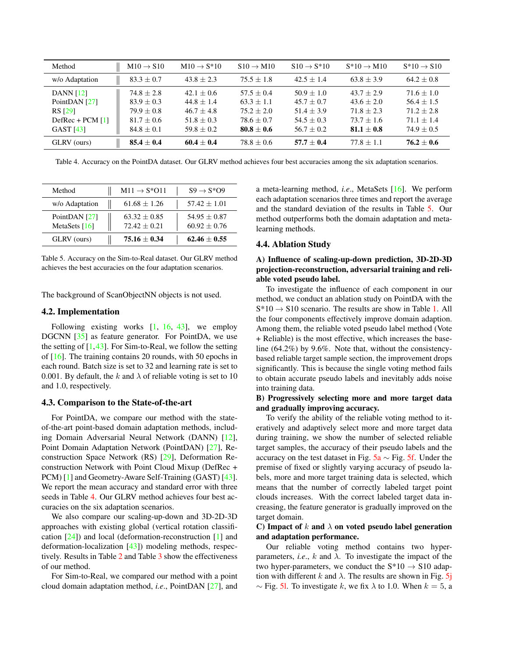| Method             | $M10 \rightarrow S10$ | $M10 \rightarrow S*10$ | $S10 \rightarrow M10$ | $S10 \rightarrow S*10$ | $S*10 \rightarrow M10$ | $S*10 \rightarrow S10$ |
|--------------------|-----------------------|------------------------|-----------------------|------------------------|------------------------|------------------------|
| w/o Adaptation     | $83.3 \pm 0.7$        | $43.8 + 2.3$           | $75.5 + 1.8$          | $42.5 + 1.4$           | $63.8 + 3.9$           | $64.2 + 0.8$           |
| <b>DANN</b> [12]   | $74.8 + 2.8$          | $42.1 + 0.6$           | $57.5 + 0.4$          | $50.9 + 1.0$           | $43.7 + 2.9$           | $71.6 + 1.0$           |
| PointDAN [27]      | $83.9 + 0.3$          | $44.8 + 1.4$           | $63.3 + 1.1$          | $45.7 + 0.7$           | $43.6 + 2.0$           | $56.4 + 1.5$           |
| <b>RS</b> [29]     | $79.9 + 0.8$          | $46.7 + 4.8$           | $75.2 + 2.0$          | $51.4 + 3.9$           | $71.8 + 2.3$           | $71.2 + 2.8$           |
| DefRec + PCM $[1]$ | $81.7 + 0.6$          | $51.8 + 0.3$           | $78.6 + 0.7$          | $54.5 + 0.3$           | $73.7 + 1.6$           | $71.1 + 1.4$           |
| <b>GAST</b> [43]   | $84.8 \pm 0.1$        | $59.8 \pm 0.2$         | $80.8 \pm 0.6$        | $56.7 \pm 0.2$         | $81.1 \pm 0.8$         | $74.9 + 0.5$           |
| GLRV (ours)        | $85.4 \pm 0.4$        | $60.4 + 0.4$           | $78.8 \pm 0.6$        | $57.7 + 0.4$           | $77.8 + 1.1$           | $76.2 + 0.6$           |

Table 4. Accuracy on the PointDA dataset. Our GLRV method achieves four best accuracies among the six adaptation scenarios.

| Method                           | $M11 \rightarrow S^*O11$         | $S9 \rightarrow S*O9$            |
|----------------------------------|----------------------------------|----------------------------------|
| w/o Adaptation                   | $61.68 + 1.26$                   | $57.42 + 1.01$                   |
| PointDAN [27]<br>MetaSets $[16]$ | $63.32 + 0.85$<br>$72.42 + 0.21$ | $54.95 + 0.87$<br>$60.92 + 0.76$ |
| GLRV (ours)                      | $75.16 + 0.34$                   | $62.46 + 0.55$                   |

Table 5. Accuracy on the Sim-to-Real dataset. Our GLRV method achieves the best accuracies on the four adaptation scenarios.

The background of ScanObjectNN objects is not used.

### 4.2. Implementation

Following existing works [1, 16, 43], we employ DGCNN [35] as feature generator. For PointDA, we use the setting of  $[1,43]$ . For Sim-to-Real, we follow the setting of [16]. The training contains 20 rounds, with 50 epochs in each round. Batch size is set to 32 and learning rate is set to 0.001. By default, the k and  $\lambda$  of reliable voting is set to 10 and 1.0, respectively.

### 4.3. Comparison to the State-of-the-art

For PointDA, we compare our method with the stateof-the-art point-based domain adaptation methods, including Domain Adversarial Neural Network (DANN) [12], Point Domain Adaptation Network (PointDAN) [27], Reconstruction Space Network (RS) [29], Deformation Reconstruction Network with Point Cloud Mixup (DefRec + PCM) [1] and Geometry-Aware Self-Training (GAST) [43]. We report the mean accuracy and standard error with three seeds in Table 4. Our GLRV method achieves four best accuracies on the six adaptation scenarios.

We also compare our scaling-up-down and 3D-2D-3D approaches with existing global (vertical rotation classification [24]) and local (deformation-reconstruction [1] and deformation-localization [43]) modeling methods, respectively. Results in Table 2 and Table 3 show the effectiveness of our method.

For Sim-to-Real, we compared our method with a point cloud domain adaptation method, *i.e*., PointDAN [27], and

a meta-learning method, *i.e*., MetaSets [16]. We perform each adaptation scenarios three times and report the average and the standard deviation of the results in Table 5. Our method outperforms both the domain adaptation and metalearning methods.

### 4.4. Ablation Study

## A) Influence of scaling-up-down prediction, 3D-2D-3D projection-reconstruction, adversarial training and reliable voted pseudo label.

To investigate the influence of each component in our method, we conduct an ablation study on PointDA with the  $S*10 \rightarrow S10$  scenario. The results are show in Table 1. All the four components effectively improve domain adaption. Among them, the reliable voted pseudo label method (Vote + Reliable) is the most effective, which increases the baseline (64.2%) by 9.6%. Note that, without the consistencybased reliable target sample section, the improvement drops significantly. This is because the single voting method fails to obtain accurate pseudo labels and inevitably adds noise into training data.

## B) Progressively selecting more and more target data and gradually improving accuracy.

To verify the ability of the reliable voting method to iteratively and adaptively select more and more target data during training, we show the number of selected reliable target samples, the accuracy of their pseudo labels and the accuracy on the test dataset in Fig.  $5a \sim Fig. 5f$ . Under the premise of fixed or slightly varying accuracy of pseudo labels, more and more target training data is selected, which means that the number of correctly labeled target point clouds increases. With the correct labeled target data increasing, the feature generator is gradually improved on the target domain.

## C) Impact of k and  $\lambda$  on voted pseudo label generation and adaptation performance.

Our reliable voting method contains two hyperparameters, *i.e.*,  $k$  and  $\lambda$ . To investigate the impact of the two hyper-parameters, we conduct the  $S*10 \rightarrow S10$  adaption with different k and  $\lambda$ . The results are shown in Fig. 5j  $\sim$  Fig. 5l. To investigate k, we fix  $\lambda$  to 1.0. When  $k = 5$ , a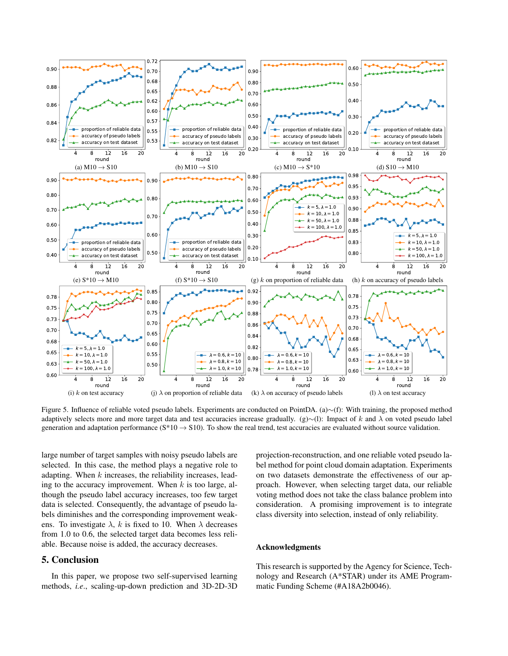

Figure 5. Influence of reliable voted pseudo labels. Experiments are conducted on PointDA. (a)∼(f): With training, the proposed method adaptively selects more and more target data and test accuracies increase gradually. (g)∼(l): Impact of k and  $\lambda$  on voted pseudo label generation and adaptation performance ( $S*10 \rightarrow S10$ ). To show the real trend, test accuracies are evaluated without source validation.

large number of target samples with noisy pseudo labels are selected. In this case, the method plays a negative role to adapting. When  $k$  increases, the reliability increases, leading to the accuracy improvement. When  $k$  is too large, although the pseudo label accuracy increases, too few target data is selected. Consequently, the advantage of pseudo labels diminishes and the corresponding improvement weakens. To investigate  $\lambda$ , k is fixed to 10. When  $\lambda$  decreases from 1.0 to 0.6, the selected target data becomes less reliable. Because noise is added, the accuracy decreases.

## 5. Conclusion

In this paper, we propose two self-supervised learning methods, *i.e*., scaling-up-down prediction and 3D-2D-3D projection-reconstruction, and one reliable voted pseudo label method for point cloud domain adaptation. Experiments on two datasets demonstrate the effectiveness of our approach. However, when selecting target data, our reliable voting method does not take the class balance problem into consideration. A promising improvement is to integrate class diversity into selection, instead of only reliability.

### Acknowledgments

This research is supported by the Agency for Science, Technology and Research (A\*STAR) under its AME Programmatic Funding Scheme (#A18A2b0046).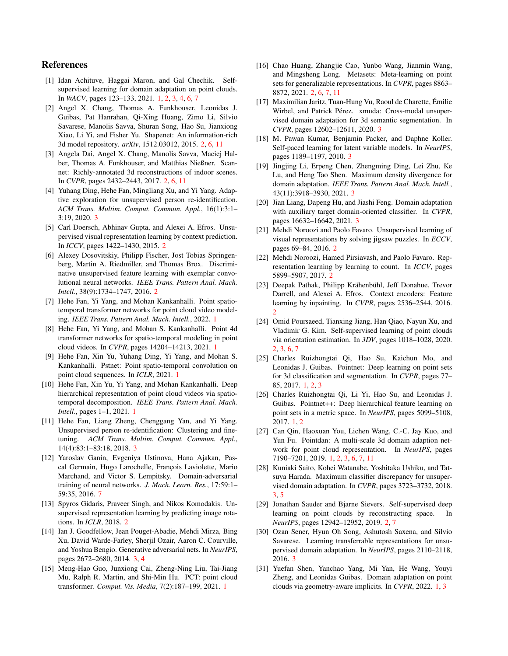## References

- [1] Idan Achituve, Haggai Maron, and Gal Chechik. Selfsupervised learning for domain adaptation on point clouds. In *WACV*, pages 123–133, 2021. 1, 2, 3, 4, 6, 7
- [2] Angel X. Chang, Thomas A. Funkhouser, Leonidas J. Guibas, Pat Hanrahan, Qi-Xing Huang, Zimo Li, Silvio Savarese, Manolis Savva, Shuran Song, Hao Su, Jianxiong Xiao, Li Yi, and Fisher Yu. Shapenet: An information-rich 3d model repository. *arXiv*, 1512.03012, 2015. 2, 6, 11
- [3] Angela Dai, Angel X. Chang, Manolis Savva, Maciej Halber, Thomas A. Funkhouser, and Matthias Nießner. Scannet: Richly-annotated 3d reconstructions of indoor scenes. In *CVPR*, pages 2432–2443, 2017. 2, 6, 11
- [4] Yuhang Ding, Hehe Fan, Mingliang Xu, and Yi Yang. Adaptive exploration for unsupervised person re-identification. *ACM Trans. Multim. Comput. Commun. Appl.*, 16(1):3:1– 3:19, 2020. 3
- [5] Carl Doersch, Abhinav Gupta, and Alexei A. Efros. Unsupervised visual representation learning by context prediction. In *ICCV*, pages 1422–1430, 2015. 2
- [6] Alexey Dosovitskiy, Philipp Fischer, Jost Tobias Springenberg, Martin A. Riedmiller, and Thomas Brox. Discriminative unsupervised feature learning with exemplar convolutional neural networks. *IEEE Trans. Pattern Anal. Mach. Intell.*, 38(9):1734–1747, 2016. 2
- [7] Hehe Fan, Yi Yang, and Mohan Kankanhalli. Point spatiotemporal transformer networks for point cloud video modeling. *IEEE Trans. Pattern Anal. Mach. Intell.*, 2022. 1
- [8] Hehe Fan, Yi Yang, and Mohan S. Kankanhalli. Point 4d transformer networks for spatio-temporal modeling in point cloud videos. In *CVPR*, pages 14204–14213, 2021. 1
- [9] Hehe Fan, Xin Yu, Yuhang Ding, Yi Yang, and Mohan S. Kankanhalli. Pstnet: Point spatio-temporal convolution on point cloud sequences. In *ICLR*, 2021. 1
- [10] Hehe Fan, Xin Yu, Yi Yang, and Mohan Kankanhalli. Deep hierarchical representation of point cloud videos via spatiotemporal decomposition. *IEEE Trans. Pattern Anal. Mach. Intell.*, pages 1–1, 2021. 1
- [11] Hehe Fan, Liang Zheng, Chenggang Yan, and Yi Yang. Unsupervised person re-identification: Clustering and finetuning. *ACM Trans. Multim. Comput. Commun. Appl.*, 14(4):83:1–83:18, 2018. 3
- [12] Yaroslav Ganin, Evgeniya Ustinova, Hana Ajakan, Pascal Germain, Hugo Larochelle, François Laviolette, Mario Marchand, and Victor S. Lempitsky. Domain-adversarial training of neural networks. *J. Mach. Learn. Res.*, 17:59:1– 59:35, 2016. 7
- [13] Spyros Gidaris, Praveer Singh, and Nikos Komodakis. Unsupervised representation learning by predicting image rotations. In *ICLR*, 2018. 2
- [14] Ian J. Goodfellow, Jean Pouget-Abadie, Mehdi Mirza, Bing Xu, David Warde-Farley, Sherjil Ozair, Aaron C. Courville, and Yoshua Bengio. Generative adversarial nets. In *NeurIPS*, pages 2672–2680, 2014. 3, 4
- [15] Meng-Hao Guo, Junxiong Cai, Zheng-Ning Liu, Tai-Jiang Mu, Ralph R. Martin, and Shi-Min Hu. PCT: point cloud transformer. *Comput. Vis. Media*, 7(2):187–199, 2021. 1
- [16] Chao Huang, Zhangjie Cao, Yunbo Wang, Jianmin Wang, and Mingsheng Long. Metasets: Meta-learning on point sets for generalizable representations. In *CVPR*, pages 8863– 8872, 2021. 2, 6, 7, 11
- [17] Maximilian Jaritz, Tuan-Hung Vu, Raoul de Charette, Émilie Wirbel, and Patrick Pérez. xmuda: Cross-modal unsupervised domain adaptation for 3d semantic segmentation. In *CVPR*, pages 12602–12611, 2020. 3
- [18] M. Pawan Kumar, Benjamin Packer, and Daphne Koller. Self-paced learning for latent variable models. In *NeurIPS*, pages 1189–1197, 2010. 3
- [19] Jingjing Li, Erpeng Chen, Zhengming Ding, Lei Zhu, Ke Lu, and Heng Tao Shen. Maximum density divergence for domain adaptation. *IEEE Trans. Pattern Anal. Mach. Intell.*, 43(11):3918–3930, 2021. 3
- [20] Jian Liang, Dapeng Hu, and Jiashi Feng. Domain adaptation with auxiliary target domain-oriented classifier. In *CVPR*, pages 16632–16642, 2021. 3
- [21] Mehdi Noroozi and Paolo Favaro. Unsupervised learning of visual representations by solving jigsaw puzzles. In *ECCV*, pages 69–84, 2016. 2
- [22] Mehdi Noroozi, Hamed Pirsiavash, and Paolo Favaro. Representation learning by learning to count. In *ICCV*, pages 5899–5907, 2017. 2
- [23] Deepak Pathak, Philipp Krähenbühl, Jeff Donahue, Trevor Darrell, and Alexei A. Efros. Context encoders: Feature learning by inpainting. In *CVPR*, pages 2536–2544, 2016. 2
- [24] Omid Poursaeed, Tianxing Jiang, Han Qiao, Nayun Xu, and Vladimir G. Kim. Self-supervised learning of point clouds via orientation estimation. In *3DV*, pages 1018–1028, 2020. 2, 3, 6, 7
- [25] Charles Ruizhongtai Qi, Hao Su, Kaichun Mo, and Leonidas J. Guibas. Pointnet: Deep learning on point sets for 3d classification and segmentation. In *CVPR*, pages 77– 85, 2017. 1, 2, 3
- [26] Charles Ruizhongtai Qi, Li Yi, Hao Su, and Leonidas J. Guibas. Pointnet++: Deep hierarchical feature learning on point sets in a metric space. In *NeurIPS*, pages 5099–5108, 2017. 1, 2
- [27] Can Qin, Haoxuan You, Lichen Wang, C.-C. Jay Kuo, and Yun Fu. Pointdan: A multi-scale 3d domain adaption network for point cloud representation. In *NeurIPS*, pages 7190–7201, 2019. 1, 2, 3, 6, 7, 11
- [28] Kuniaki Saito, Kohei Watanabe, Yoshitaka Ushiku, and Tatsuya Harada. Maximum classifier discrepancy for unsupervised domain adaptation. In *CVPR*, pages 3723–3732, 2018. 3, 5
- [29] Jonathan Sauder and Bjarne Sievers. Self-supervised deep learning on point clouds by reconstructing space. In *NeurIPS*, pages 12942–12952, 2019. 2, 7
- [30] Ozan Sener, Hyun Oh Song, Ashutosh Saxena, and Silvio Savarese. Learning transferrable representations for unsupervised domain adaptation. In *NeurIPS*, pages 2110–2118, 2016. 3
- [31] Yuefan Shen, Yanchao Yang, Mi Yan, He Wang, Youyi Zheng, and Leonidas Guibas. Domain adaptation on point clouds via geometry-aware implicits. In *CVPR*, 2022. 1, 3